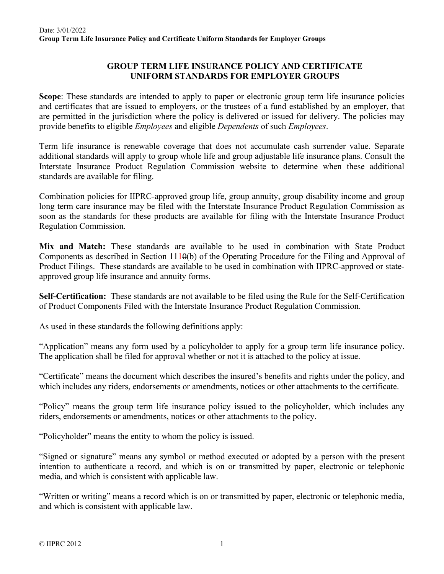## **GROUP TERM LIFE INSURANCE POLICY AND CERTIFICATE UNIFORM STANDARDS FOR EMPLOYER GROUPS**

**Scope**: These standards are intended to apply to paper or electronic group term life insurance policies and certificates that are issued to employers, or the trustees of a fund established by an employer, that are permitted in the jurisdiction where the policy is delivered or issued for delivery. The policies may provide benefits to eligible *Employees* and eligible *Dependents* of such *Employees*.

Term life insurance is renewable coverage that does not accumulate cash surrender value. Separate additional standards will apply to group whole life and group adjustable life insurance plans. Consult the Interstate Insurance Product Regulation Commission website to determine when these additional standards are available for filing.

Combination policies for IIPRC-approved group life, group annuity, group disability income and group long term care insurance may be filed with the Interstate Insurance Product Regulation Commission as soon as the standards for these products are available for filing with the Interstate Insurance Product Regulation Commission.

**Mix and Match:** These standards are available to be used in combination with State Product Components as described in Section  $111\theta(b)$  of the Operating Procedure for the Filing and Approval of Product Filings. These standards are available to be used in combination with IIPRC-approved or stateapproved group life insurance and annuity forms.

**Self-Certification:** These standards are not available to be filed using the Rule for the Self-Certification of Product Components Filed with the Interstate Insurance Product Regulation Commission.

As used in these standards the following definitions apply:

"Application" means any form used by a policyholder to apply for a group term life insurance policy. The application shall be filed for approval whether or not it is attached to the policy at issue.

"Certificate" means the document which describes the insured's benefits and rights under the policy, and which includes any riders, endorsements or amendments, notices or other attachments to the certificate.

"Policy" means the group term life insurance policy issued to the policyholder, which includes any riders, endorsements or amendments, notices or other attachments to the policy.

"Policyholder" means the entity to whom the policy is issued.

"Signed or signature" means any symbol or method executed or adopted by a person with the present intention to authenticate a record, and which is on or transmitted by paper, electronic or telephonic media, and which is consistent with applicable law.

"Written or writing" means a record which is on or transmitted by paper, electronic or telephonic media, and which is consistent with applicable law.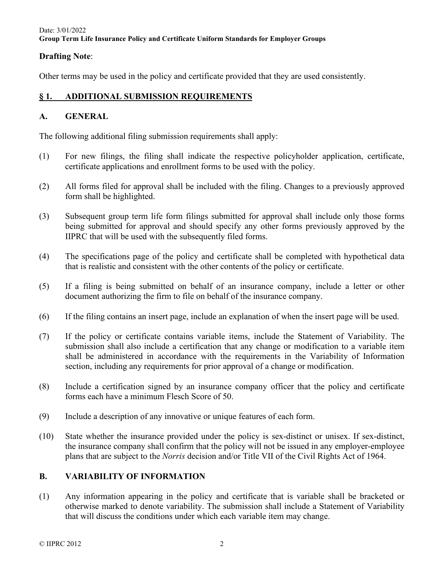## **Drafting Note**:

Other terms may be used in the policy and certificate provided that they are used consistently.

## **§ 1. ADDITIONAL SUBMISSION REQUIREMENTS**

## **A. GENERAL**

The following additional filing submission requirements shall apply:

- (1) For new filings, the filing shall indicate the respective policyholder application, certificate, certificate applications and enrollment forms to be used with the policy.
- (2) All forms filed for approval shall be included with the filing. Changes to a previously approved form shall be highlighted.
- (3) Subsequent group term life form filings submitted for approval shall include only those forms being submitted for approval and should specify any other forms previously approved by the IIPRC that will be used with the subsequently filed forms.
- (4) The specifications page of the policy and certificate shall be completed with hypothetical data that is realistic and consistent with the other contents of the policy or certificate.
- (5) If a filing is being submitted on behalf of an insurance company, include a letter or other document authorizing the firm to file on behalf of the insurance company.
- (6) If the filing contains an insert page, include an explanation of when the insert page will be used.
- (7) If the policy or certificate contains variable items, include the Statement of Variability. The submission shall also include a certification that any change or modification to a variable item shall be administered in accordance with the requirements in the Variability of Information section, including any requirements for prior approval of a change or modification.
- (8) Include a certification signed by an insurance company officer that the policy and certificate forms each have a minimum Flesch Score of 50.
- (9) Include a description of any innovative or unique features of each form.
- (10) State whether the insurance provided under the policy is sex-distinct or unisex. If sex-distinct, the insurance company shall confirm that the policy will not be issued in any employer-employee plans that are subject to the *Norris* decision and/or Title VII of the Civil Rights Act of 1964.

## **B. VARIABILITY OF INFORMATION**

(1) Any information appearing in the policy and certificate that is variable shall be bracketed or otherwise marked to denote variability. The submission shall include a Statement of Variability that will discuss the conditions under which each variable item may change.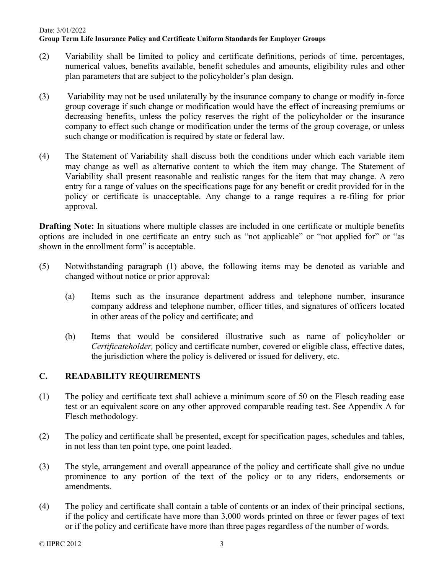- (2) Variability shall be limited to policy and certificate definitions, periods of time, percentages, numerical values, benefits available, benefit schedules and amounts, eligibility rules and other plan parameters that are subject to the policyholder's plan design.
- (3) Variability may not be used unilaterally by the insurance company to change or modify in-force group coverage if such change or modification would have the effect of increasing premiums or decreasing benefits, unless the policy reserves the right of the policyholder or the insurance company to effect such change or modification under the terms of the group coverage, or unless such change or modification is required by state or federal law.
- (4) The Statement of Variability shall discuss both the conditions under which each variable item may change as well as alternative content to which the item may change. The Statement of Variability shall present reasonable and realistic ranges for the item that may change. A zero entry for a range of values on the specifications page for any benefit or credit provided for in the policy or certificate is unacceptable. Any change to a range requires a re-filing for prior approval.

**Drafting Note:** In situations where multiple classes are included in one certificate or multiple benefits options are included in one certificate an entry such as "not applicable" or "not applied for" or "as shown in the enrollment form" is acceptable.

- (5) Notwithstanding paragraph (1) above, the following items may be denoted as variable and changed without notice or prior approval:
	- (a) Items such as the insurance department address and telephone number, insurance company address and telephone number, officer titles, and signatures of officers located in other areas of the policy and certificate; and
	- (b) Items that would be considered illustrative such as name of policyholder or *Certificateholder,* policy and certificate number, covered or eligible class, effective dates, the jurisdiction where the policy is delivered or issued for delivery, etc.

## **C. READABILITY REQUIREMENTS**

- (1) The policy and certificate text shall achieve a minimum score of 50 on the Flesch reading ease test or an equivalent score on any other approved comparable reading test. See Appendix A for Flesch methodology.
- (2) The policy and certificate shall be presented, except for specification pages, schedules and tables, in not less than ten point type, one point leaded.
- (3) The style, arrangement and overall appearance of the policy and certificate shall give no undue prominence to any portion of the text of the policy or to any riders, endorsements or amendments.
- (4) The policy and certificate shall contain a table of contents or an index of their principal sections, if the policy and certificate have more than 3,000 words printed on three or fewer pages of text or if the policy and certificate have more than three pages regardless of the number of words.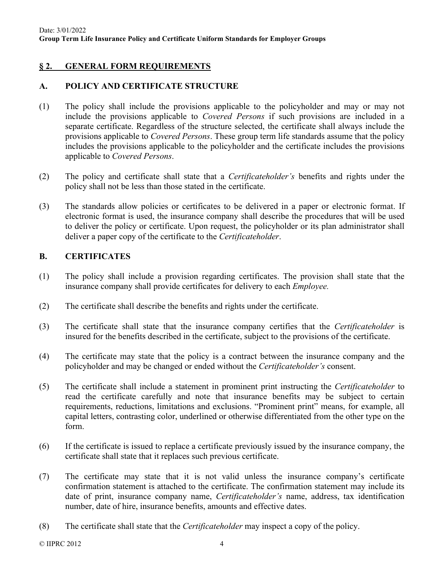# **§ 2. GENERAL FORM REQUIREMENTS**

## **A. POLICY AND CERTIFICATE STRUCTURE**

- (1) The policy shall include the provisions applicable to the policyholder and may or may not include the provisions applicable to *Covered Persons* if such provisions are included in a separate certificate. Regardless of the structure selected, the certificate shall always include the provisions applicable to *Covered Persons*. These group term life standards assume that the policy includes the provisions applicable to the policyholder and the certificate includes the provisions applicable to *Covered Persons*.
- (2) The policy and certificate shall state that a *Certificateholder's* benefits and rights under the policy shall not be less than those stated in the certificate.
- (3) The standards allow policies or certificates to be delivered in a paper or electronic format. If electronic format is used, the insurance company shall describe the procedures that will be used to deliver the policy or certificate. Upon request, the policyholder or its plan administrator shall deliver a paper copy of the certificate to the *Certificateholder*.

## **B. CERTIFICATES**

- (1) The policy shall include a provision regarding certificates. The provision shall state that the insurance company shall provide certificates for delivery to each *Employee.*
- (2) The certificate shall describe the benefits and rights under the certificate.
- (3) The certificate shall state that the insurance company certifies that the *Certificateholder* is insured for the benefits described in the certificate, subject to the provisions of the certificate.
- (4) The certificate may state that the policy is a contract between the insurance company and the policyholder and may be changed or ended without the *Certificateholder's* consent.
- (5) The certificate shall include a statement in prominent print instructing the *Certificateholder* to read the certificate carefully and note that insurance benefits may be subject to certain requirements, reductions, limitations and exclusions. "Prominent print" means, for example, all capital letters, contrasting color, underlined or otherwise differentiated from the other type on the form.
- (6) If the certificate is issued to replace a certificate previously issued by the insurance company, the certificate shall state that it replaces such previous certificate.
- (7) The certificate may state that it is not valid unless the insurance company's certificate confirmation statement is attached to the certificate. The confirmation statement may include its date of print, insurance company name, *Certificateholder's* name, address, tax identification number, date of hire, insurance benefits, amounts and effective dates.
- (8) The certificate shall state that the *Certificateholder* may inspect a copy of the policy.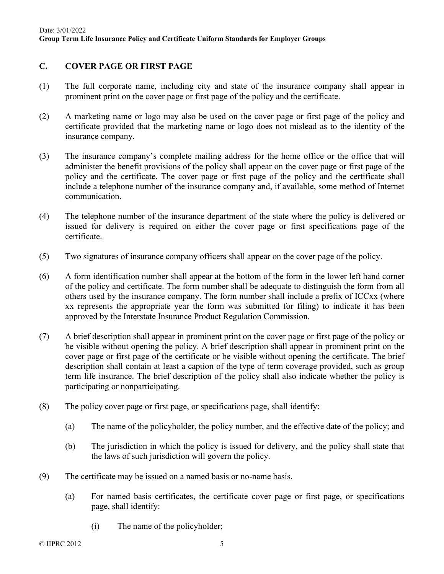# **C. COVER PAGE OR FIRST PAGE**

- (1) The full corporate name, including city and state of the insurance company shall appear in prominent print on the cover page or first page of the policy and the certificate.
- (2) A marketing name or logo may also be used on the cover page or first page of the policy and certificate provided that the marketing name or logo does not mislead as to the identity of the insurance company.
- (3) The insurance company's complete mailing address for the home office or the office that will administer the benefit provisions of the policy shall appear on the cover page or first page of the policy and the certificate. The cover page or first page of the policy and the certificate shall include a telephone number of the insurance company and, if available, some method of Internet communication.
- (4) The telephone number of the insurance department of the state where the policy is delivered or issued for delivery is required on either the cover page or first specifications page of the certificate.
- (5) Two signatures of insurance company officers shall appear on the cover page of the policy.
- (6) A form identification number shall appear at the bottom of the form in the lower left hand corner of the policy and certificate. The form number shall be adequate to distinguish the form from all others used by the insurance company. The form number shall include a prefix of ICCxx (where xx represents the appropriate year the form was submitted for filing) to indicate it has been approved by the Interstate Insurance Product Regulation Commission.
- (7) A brief description shall appear in prominent print on the cover page or first page of the policy or be visible without opening the policy. A brief description shall appear in prominent print on the cover page or first page of the certificate or be visible without opening the certificate. The brief description shall contain at least a caption of the type of term coverage provided, such as group term life insurance. The brief description of the policy shall also indicate whether the policy is participating or nonparticipating.
- (8) The policy cover page or first page, or specifications page, shall identify:
	- (a) The name of the policyholder, the policy number, and the effective date of the policy; and
	- (b) The jurisdiction in which the policy is issued for delivery, and the policy shall state that the laws of such jurisdiction will govern the policy.
- (9) The certificate may be issued on a named basis or no-name basis.
	- (a) For named basis certificates, the certificate cover page or first page, or specifications page, shall identify:
		- (i) The name of the policyholder;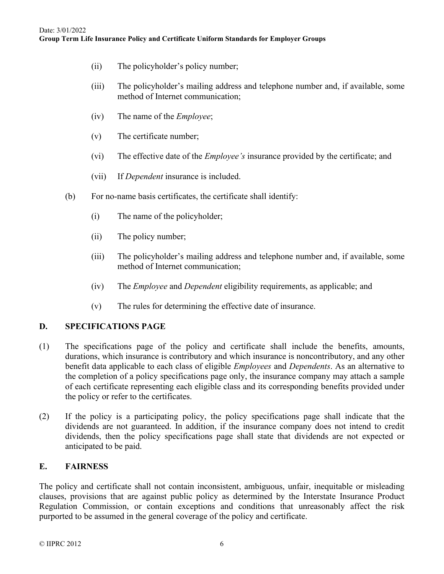- (ii) The policyholder's policy number;
- (iii) The policyholder's mailing address and telephone number and, if available, some method of Internet communication;
- (iv) The name of the *Employee*;
- (v) The certificate number;
- (vi) The effective date of the *Employee's* insurance provided by the certificate; and
- (vii) If *Dependent* insurance is included.
- (b) For no-name basis certificates, the certificate shall identify:
	- (i) The name of the policyholder;
	- (ii) The policy number;
	- (iii) The policyholder's mailing address and telephone number and, if available, some method of Internet communication;
	- (iv) The *Employee* and *Dependent* eligibility requirements, as applicable; and
	- (v) The rules for determining the effective date of insurance.

### **D. SPECIFICATIONS PAGE**

- (1) The specifications page of the policy and certificate shall include the benefits, amounts, durations, which insurance is contributory and which insurance is noncontributory, and any other benefit data applicable to each class of eligible *Employees* and *Dependents*. As an alternative to the completion of a policy specifications page only, the insurance company may attach a sample of each certificate representing each eligible class and its corresponding benefits provided under the policy or refer to the certificates.
- (2) If the policy is a participating policy, the policy specifications page shall indicate that the dividends are not guaranteed. In addition, if the insurance company does not intend to credit dividends, then the policy specifications page shall state that dividends are not expected or anticipated to be paid.

## **E. FAIRNESS**

The policy and certificate shall not contain inconsistent, ambiguous, unfair, inequitable or misleading clauses, provisions that are against public policy as determined by the Interstate Insurance Product Regulation Commission, or contain exceptions and conditions that unreasonably affect the risk purported to be assumed in the general coverage of the policy and certificate.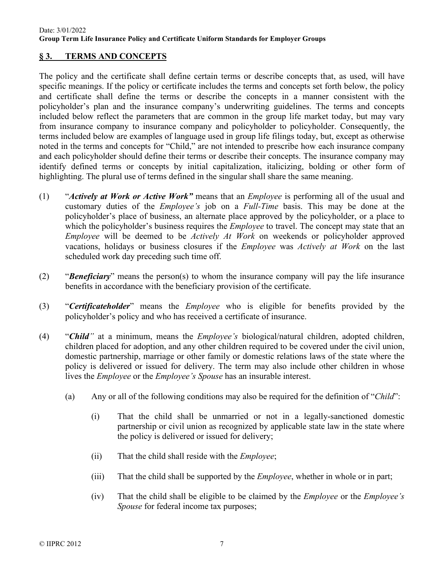## **§ 3. TERMS AND CONCEPTS**

The policy and the certificate shall define certain terms or describe concepts that, as used, will have specific meanings. If the policy or certificate includes the terms and concepts set forth below, the policy and certificate shall define the terms or describe the concepts in a manner consistent with the policyholder's plan and the insurance company's underwriting guidelines. The terms and concepts included below reflect the parameters that are common in the group life market today, but may vary from insurance company to insurance company and policyholder to policyholder. Consequently, the terms included below are examples of language used in group life filings today, but, except as otherwise noted in the terms and concepts for "Child," are not intended to prescribe how each insurance company and each policyholder should define their terms or describe their concepts. The insurance company may identify defined terms or concepts by initial capitalization, italicizing, bolding or other form of highlighting. The plural use of terms defined in the singular shall share the same meaning.

- (1) "*Actively at Work or Active Work"* means that an *Employee* is performing all of the usual and customary duties of the *Employee's* job on a *Full-Time* basis. This may be done at the policyholder's place of business, an alternate place approved by the policyholder, or a place to which the policyholder's business requires the *Employee* to travel. The concept may state that an *Employee* will be deemed to be *Actively At Work* on weekends or policyholder approved vacations, holidays or business closures if the *Employee* was *Actively at Work* on the last scheduled work day preceding such time off.
- (2) "*Beneficiary*" means the person(s) to whom the insurance company will pay the life insurance benefits in accordance with the beneficiary provision of the certificate.
- (3) "*Certificateholder*" means the *Employee* who is eligible for benefits provided by the policyholder's policy and who has received a certificate of insurance.
- (4) "*Child"* at a minimum, means the *Employee's* biological/natural children, adopted children, children placed for adoption, and any other children required to be covered under the civil union, domestic partnership, marriage or other family or domestic relations laws of the state where the policy is delivered or issued for delivery. The term may also include other children in whose lives the *Employee* or the *Employee's Spouse* has an insurable interest.
	- (a) Any or all of the following conditions may also be required for the definition of "*Child*":
		- (i) That the child shall be unmarried or not in a legally-sanctioned domestic partnership or civil union as recognized by applicable state law in the state where the policy is delivered or issued for delivery;
		- (ii) That the child shall reside with the *Employee*;
		- (iii) That the child shall be supported by the *Employee*, whether in whole or in part;
		- (iv) That the child shall be eligible to be claimed by the *Employee* or the *Employee's Spouse* for federal income tax purposes;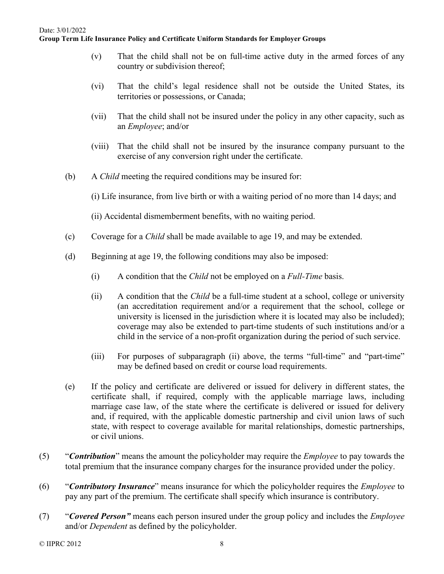- (v) That the child shall not be on full-time active duty in the armed forces of any country or subdivision thereof;
- (vi) That the child's legal residence shall not be outside the United States, its territories or possessions, or Canada;
- (vii) That the child shall not be insured under the policy in any other capacity, such as an *Employee*; and/or
- (viii) That the child shall not be insured by the insurance company pursuant to the exercise of any conversion right under the certificate.
- (b) A *Child* meeting the required conditions may be insured for:
	- (i) Life insurance, from live birth or with a waiting period of no more than 14 days; and
	- (ii) Accidental dismemberment benefits, with no waiting period.
- (c) Coverage for a *Child* shall be made available to age 19, and may be extended.
- (d) Beginning at age 19, the following conditions may also be imposed:
	- (i) A condition that the *Child* not be employed on a *Full-Time* basis.
	- (ii) A condition that the *Child* be a full-time student at a school, college or university (an accreditation requirement and/or a requirement that the school, college or university is licensed in the jurisdiction where it is located may also be included); coverage may also be extended to part-time students of such institutions and/or a child in the service of a non-profit organization during the period of such service.
	- (iii) For purposes of subparagraph (ii) above, the terms "full-time" and "part-time" may be defined based on credit or course load requirements.
- (e) If the policy and certificate are delivered or issued for delivery in different states, the certificate shall, if required, comply with the applicable marriage laws, including marriage case law, of the state where the certificate is delivered or issued for delivery and, if required, with the applicable domestic partnership and civil union laws of such state, with respect to coverage available for marital relationships, domestic partnerships, or civil unions.
- (5) "*Contribution*" means the amount the policyholder may require the *Employee* to pay towards the total premium that the insurance company charges for the insurance provided under the policy.
- (6) "*Contributory Insurance*" means insurance for which the policyholder requires the *Employee* to pay any part of the premium. The certificate shall specify which insurance is contributory.
- (7) "*Covered Person"* means each person insured under the group policy and includes the *Employee* and/or *Dependent* as defined by the policyholder.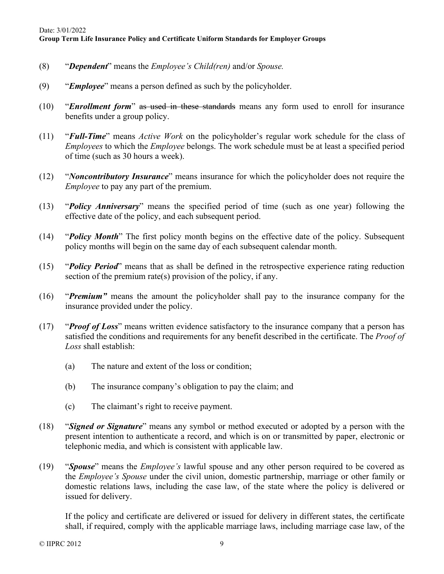- (8) "*Dependent*" means the *Employee's Child(ren)* and/or *Spouse.*
- (9) "*Employee*" means a person defined as such by the policyholder.
- (10) "*Enrollment form*" as used in these standards means any form used to enroll for insurance benefits under a group policy.
- (11) "*Full-Time*" means *Active Work* on the policyholder's regular work schedule for the class of *Employees* to which the *Employee* belongs. The work schedule must be at least a specified period of time (such as 30 hours a week).
- (12) "*Noncontributory Insurance*" means insurance for which the policyholder does not require the *Employee* to pay any part of the premium.
- (13) "*Policy Anniversary*" means the specified period of time (such as one year) following the effective date of the policy, and each subsequent period.
- (14) "*Policy Month*" The first policy month begins on the effective date of the policy. Subsequent policy months will begin on the same day of each subsequent calendar month.
- (15) "*Policy Period*" means that as shall be defined in the retrospective experience rating reduction section of the premium rate(s) provision of the policy, if any.
- (16) "*Premium"* means the amount the policyholder shall pay to the insurance company for the insurance provided under the policy.
- (17) "*Proof of Loss*" means written evidence satisfactory to the insurance company that a person has satisfied the conditions and requirements for any benefit described in the certificate. The *Proof of Loss* shall establish:
	- (a) The nature and extent of the loss or condition;
	- (b) The insurance company's obligation to pay the claim; and
	- (c) The claimant's right to receive payment.
- (18) "*Signed or Signature*" means any symbol or method executed or adopted by a person with the present intention to authenticate a record, and which is on or transmitted by paper, electronic or telephonic media, and which is consistent with applicable law.
- (19) "*Spouse*" means the *Employee's* lawful spouse and any other person required to be covered as the *Employee's Spouse* under the civil union, domestic partnership, marriage or other family or domestic relations laws, including the case law, of the state where the policy is delivered or issued for delivery.

If the policy and certificate are delivered or issued for delivery in different states, the certificate shall, if required, comply with the applicable marriage laws, including marriage case law, of the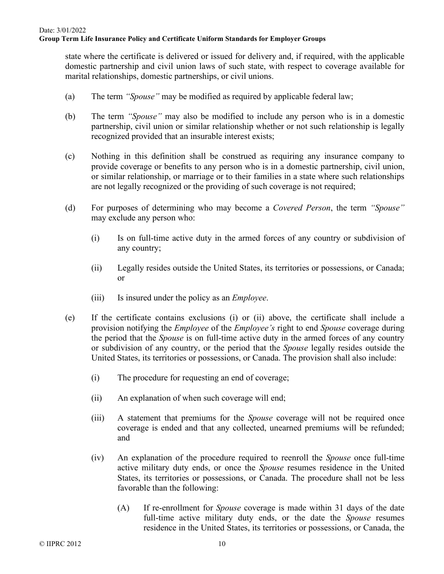state where the certificate is delivered or issued for delivery and, if required, with the applicable domestic partnership and civil union laws of such state, with respect to coverage available for marital relationships, domestic partnerships, or civil unions.

- (a) The term *"Spouse"* may be modified as required by applicable federal law;
- (b) The term *"Spouse"* may also be modified to include any person who is in a domestic partnership, civil union or similar relationship whether or not such relationship is legally recognized provided that an insurable interest exists;
- (c) Nothing in this definition shall be construed as requiring any insurance company to provide coverage or benefits to any person who is in a domestic partnership, civil union, or similar relationship, or marriage or to their families in a state where such relationships are not legally recognized or the providing of such coverage is not required;
- (d) For purposes of determining who may become a *Covered Person*, the term *"Spouse"* may exclude any person who:
	- (i) Is on full-time active duty in the armed forces of any country or subdivision of any country;
	- (ii) Legally resides outside the United States, its territories or possessions, or Canada; or
	- (iii) Is insured under the policy as an *Employee*.
- (e) If the certificate contains exclusions (i) or (ii) above, the certificate shall include a provision notifying the *Employee* of the *Employee's* right to end *Spouse* coverage during the period that the *Spouse* is on full-time active duty in the armed forces of any country or subdivision of any country, or the period that the *Spouse* legally resides outside the United States, its territories or possessions, or Canada. The provision shall also include:
	- (i) The procedure for requesting an end of coverage;
	- (ii) An explanation of when such coverage will end;
	- (iii) A statement that premiums for the *Spouse* coverage will not be required once coverage is ended and that any collected, unearned premiums will be refunded; and
	- (iv) An explanation of the procedure required to reenroll the *Spouse* once full-time active military duty ends, or once the *Spouse* resumes residence in the United States, its territories or possessions, or Canada. The procedure shall not be less favorable than the following:
		- (A) If re-enrollment for *Spouse* coverage is made within 31 days of the date full-time active military duty ends, or the date the *Spouse* resumes residence in the United States, its territories or possessions, or Canada, the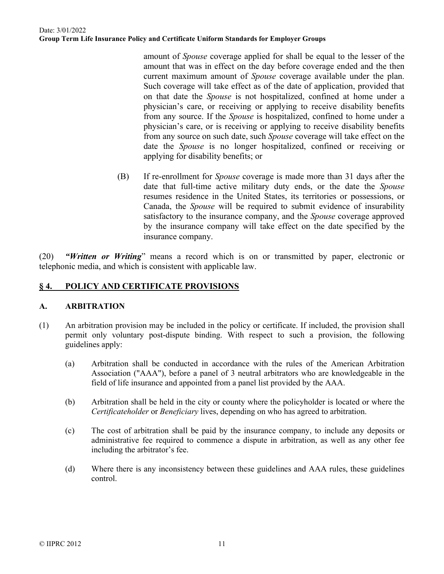amount of *Spouse* coverage applied for shall be equal to the lesser of the amount that was in effect on the day before coverage ended and the then current maximum amount of *Spouse* coverage available under the plan. Such coverage will take effect as of the date of application, provided that on that date the *Spouse* is not hospitalized, confined at home under a physician's care, or receiving or applying to receive disability benefits from any source. If the *Spouse* is hospitalized, confined to home under a physician's care, or is receiving or applying to receive disability benefits from any source on such date, such *Spouse* coverage will take effect on the date the *Spouse* is no longer hospitalized, confined or receiving or applying for disability benefits; or

(B) If re-enrollment for *Spouse* coverage is made more than 31 days after the date that full-time active military duty ends, or the date the *Spouse* resumes residence in the United States, its territories or possessions, or Canada, the *Spouse* will be required to submit evidence of insurability satisfactory to the insurance company, and the *Spouse* coverage approved by the insurance company will take effect on the date specified by the insurance company.

(20) *"Written or Writing*" means a record which is on or transmitted by paper, electronic or telephonic media, and which is consistent with applicable law.

## **§ 4. POLICY AND CERTIFICATE PROVISIONS**

### **A. ARBITRATION**

- (1) An arbitration provision may be included in the policy or certificate. If included, the provision shall permit only voluntary post-dispute binding. With respect to such a provision, the following guidelines apply:
	- (a) Arbitration shall be conducted in accordance with the rules of the American Arbitration Association ("AAA"), before a panel of 3 neutral arbitrators who are knowledgeable in the field of life insurance and appointed from a panel list provided by the AAA.
	- (b) Arbitration shall be held in the city or county where the policyholder is located or where the *Certificateholder* or *Beneficiary* lives, depending on who has agreed to arbitration.
	- (c) The cost of arbitration shall be paid by the insurance company, to include any deposits or administrative fee required to commence a dispute in arbitration, as well as any other fee including the arbitrator's fee.
	- (d) Where there is any inconsistency between these guidelines and AAA rules, these guidelines control.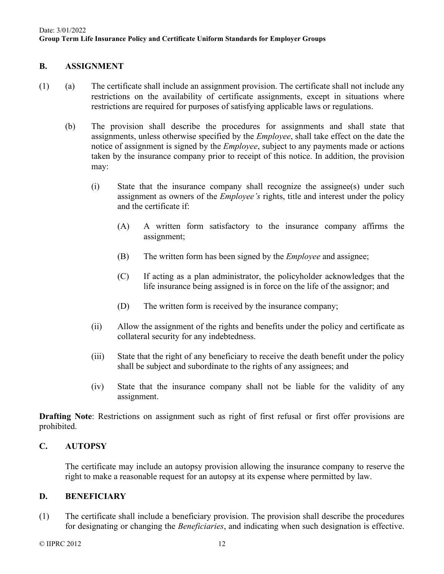## **B. ASSIGNMENT**

- (1) (a) The certificate shall include an assignment provision. The certificate shall not include any restrictions on the availability of certificate assignments, except in situations where restrictions are required for purposes of satisfying applicable laws or regulations.
	- (b) The provision shall describe the procedures for assignments and shall state that assignments, unless otherwise specified by the *Employee*, shall take effect on the date the notice of assignment is signed by the *Employee*, subject to any payments made or actions taken by the insurance company prior to receipt of this notice. In addition, the provision may:
		- (i) State that the insurance company shall recognize the assignee(s) under such assignment as owners of the *Employee's* rights, title and interest under the policy and the certificate if:
			- (A) A written form satisfactory to the insurance company affirms the assignment;
			- (B) The written form has been signed by the *Employee* and assignee;
			- (C) If acting as a plan administrator, the policyholder acknowledges that the life insurance being assigned is in force on the life of the assignor; and
			- (D) The written form is received by the insurance company;
		- (ii) Allow the assignment of the rights and benefits under the policy and certificate as collateral security for any indebtedness.
		- (iii) State that the right of any beneficiary to receive the death benefit under the policy shall be subject and subordinate to the rights of any assignees; and
		- (iv) State that the insurance company shall not be liable for the validity of any assignment.

**Drafting Note:** Restrictions on assignment such as right of first refusal or first offer provisions are prohibited.

## **C. AUTOPSY**

The certificate may include an autopsy provision allowing the insurance company to reserve the right to make a reasonable request for an autopsy at its expense where permitted by law.

## **D. BENEFICIARY**

(1) The certificate shall include a beneficiary provision. The provision shall describe the procedures for designating or changing the *Beneficiaries*, and indicating when such designation is effective.

 $\odot$  IIPRC 2012 12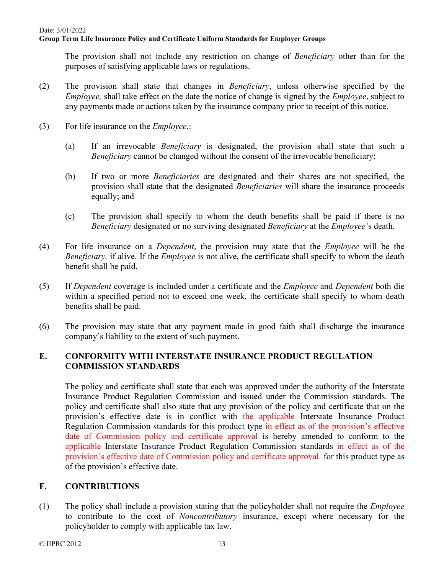The provision shall not include any restriction on change of *Beneficiary* other than for the purposes of satisfying applicable laws or regulations.

- (2) The provision shall state that changes in *Beneficiary*, unless otherwise specified by the *Employee,* shall take effect on the date the notice of change is signed by the *Employee*, subject to any payments made or actions taken by the insurance company prior to receipt of this notice.
- (3) For life insurance on the *Employee*,:
	- (a) If an irrevocable *Beneficiary* is designated, the provision shall state that such a *Beneficiary* cannot be changed without the consent of the irrevocable beneficiary;
	- (b) If two or more *Beneficiaries* are designated and their shares are not specified, the provision shall state that the designated *Beneficiaries* will share the insurance proceeds equally; and
	- (c) The provision shall specify to whom the death benefits shall be paid if there is no *Beneficiary* designated or no surviving designated *Beneficiary* at the *Employee'*s death.
- (4) For life insurance on a *Dependent*, the provision may state that the *Employee* will be the *Beneficiary,* if alive. If the *Employee* is not alive, the certificate shall specify to whom the death benefit shall be paid.
- (5) If *Dependent* coverage is included under a certificate and the *Employee* and *Dependent* both die within a specified period not to exceed one week, the certificate shall specify to whom death benefits shall be paid.
- (6) The provision may state that any payment made in good faith shall discharge the insurance company's liability to the extent of such payment.

# **E. CONFORMITY WITH INTERSTATE INSURANCE PRODUCT REGULATION COMMISSION STANDARDS**

The policy and certificate shall state that each was approved under the authority of the Interstate Insurance Product Regulation Commission and issued under the Commission standards. The policy and certificate shall also state that any provision of the policy and certificate that on the provision's effective date is in conflict with the applicable Interstate Insurance Product Regulation Commission standards for this product type in effect as of the provision's effective date of Commission policy and certificate approval is hereby amended to conform to the applicable Interstate Insurance Product Regulation Commission standards in effect as of the provision's effective date of Commission policy and certificate approval. <del>for this product type as</del> of the provision's effective date.

# **F. CONTRIBUTIONS**

(1) The policy shall include a provision stating that the policyholder shall not require the *Employee*  to contribute to the cost of *Noncontributory* insurance, except where necessary for the policyholder to comply with applicable tax law.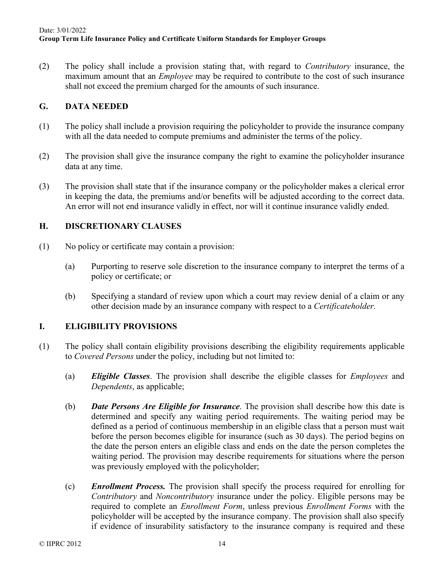(2) The policy shall include a provision stating that, with regard to *Contributory* insurance, the maximum amount that an *Employee* may be required to contribute to the cost of such insurance shall not exceed the premium charged for the amounts of such insurance.

## **G. DATA NEEDED**

- (1) The policy shall include a provision requiring the policyholder to provide the insurance company with all the data needed to compute premiums and administer the terms of the policy.
- (2) The provision shall give the insurance company the right to examine the policyholder insurance data at any time.
- (3) The provision shall state that if the insurance company or the policyholder makes a clerical error in keeping the data, the premiums and/or benefits will be adjusted according to the correct data. An error will not end insurance validly in effect, nor will it continue insurance validly ended.

## **H. DISCRETIONARY CLAUSES**

- (1) No policy or certificate may contain a provision:
	- (a) Purporting to reserve sole discretion to the insurance company to interpret the terms of a policy or certificate; or
	- (b) Specifying a standard of review upon which a court may review denial of a claim or any other decision made by an insurance company with respect to a *Certificateholder.*

## **I. ELIGIBILITY PROVISIONS**

- (1) The policy shall contain eligibility provisions describing the eligibility requirements applicable to *Covered Persons* under the policy, including but not limited to:
	- (a) *Eligible Classes*. The provision shall describe the eligible classes for *Employees* and *Dependents*, as applicable;
	- (b) *Date Persons Are Eligible for Insurance*. The provision shall describe how this date is determined and specify any waiting period requirements. The waiting period may be defined as a period of continuous membership in an eligible class that a person must wait before the person becomes eligible for insurance (such as 30 days). The period begins on the date the person enters an eligible class and ends on the date the person completes the waiting period. The provision may describe requirements for situations where the person was previously employed with the policyholder;
	- (c) *Enrollment Process.* The provision shall specify the process required for enrolling for *Contributory* and *Noncontributory* insurance under the policy. Eligible persons may be required to complete an *Enrollment Form*, unless previous *Enrollment Forms* with the policyholder will be accepted by the insurance company. The provision shall also specify if evidence of insurability satisfactory to the insurance company is required and these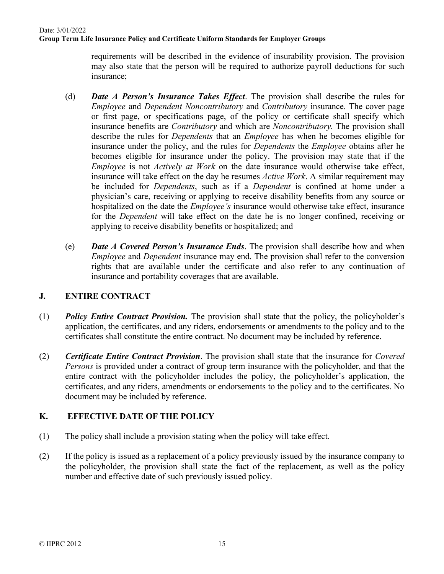requirements will be described in the evidence of insurability provision. The provision may also state that the person will be required to authorize payroll deductions for such insurance;

- (d) *Date A Person's Insurance Takes Effect*. The provision shall describe the rules for *Employee* and *Dependent Noncontributory* and *Contributory* insurance. The cover page or first page, or specifications page, of the policy or certificate shall specify which insurance benefits are *Contributory* and which are *Noncontributory.* The provision shall describe the rules for *Dependents* that an *Employee* has when he becomes eligible for insurance under the policy, and the rules for *Dependents* the *Employee* obtains after he becomes eligible for insurance under the policy. The provision may state that if the *Employee* is not *Actively at Work* on the date insurance would otherwise take effect, insurance will take effect on the day he resumes *Active Work*. A similar requirement may be included for *Dependents*, such as if a *Dependent* is confined at home under a physician's care, receiving or applying to receive disability benefits from any source or hospitalized on the date the *Employee's* insurance would otherwise take effect, insurance for the *Dependent* will take effect on the date he is no longer confined, receiving or applying to receive disability benefits or hospitalized; and
- (e) *Date A Covered Person's Insurance Ends*. The provision shall describe how and when *Employee* and *Dependent* insurance may end. The provision shall refer to the conversion rights that are available under the certificate and also refer to any continuation of insurance and portability coverages that are available.

## **J. ENTIRE CONTRACT**

- (1) *Policy Entire Contract Provision.* The provision shall state that the policy, the policyholder's application, the certificates, and any riders, endorsements or amendments to the policy and to the certificates shall constitute the entire contract. No document may be included by reference.
- (2) *Certificate Entire Contract Provision*. The provision shall state that the insurance for *Covered Persons* is provided under a contract of group term insurance with the policyholder, and that the entire contract with the policyholder includes the policy, the policyholder's application, the certificates, and any riders, amendments or endorsements to the policy and to the certificates. No document may be included by reference.

# **K. EFFECTIVE DATE OF THE POLICY**

- (1) The policy shall include a provision stating when the policy will take effect.
- (2) If the policy is issued as a replacement of a policy previously issued by the insurance company to the policyholder, the provision shall state the fact of the replacement, as well as the policy number and effective date of such previously issued policy.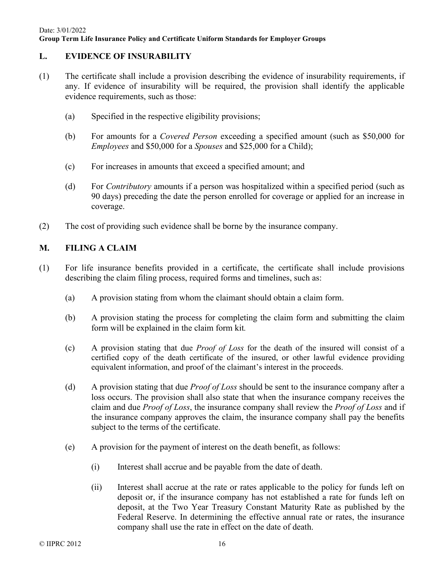## **L. EVIDENCE OF INSURABILITY**

- (1) The certificate shall include a provision describing the evidence of insurability requirements, if any. If evidence of insurability will be required, the provision shall identify the applicable evidence requirements, such as those:
	- (a) Specified in the respective eligibility provisions;
	- (b) For amounts for a *Covered Person* exceeding a specified amount (such as \$50,000 for *Employees* and \$50,000 for a *Spouses* and \$25,000 for a Child);
	- (c) For increases in amounts that exceed a specified amount; and
	- (d) For *Contributory* amounts if a person was hospitalized within a specified period (such as 90 days) preceding the date the person enrolled for coverage or applied for an increase in coverage.
- (2) The cost of providing such evidence shall be borne by the insurance company.

# **M. FILING A CLAIM**

- (1) For life insurance benefits provided in a certificate, the certificate shall include provisions describing the claim filing process, required forms and timelines, such as:
	- (a) A provision stating from whom the claimant should obtain a claim form.
	- (b) A provision stating the process for completing the claim form and submitting the claim form will be explained in the claim form kit*.*
	- (c) A provision stating that due *Proof of Loss* for the death of the insured will consist of a certified copy of the death certificate of the insured, or other lawful evidence providing equivalent information, and proof of the claimant's interest in the proceeds.
	- (d) A provision stating that due *Proof of Loss* should be sent to the insurance company after a loss occurs. The provision shall also state that when the insurance company receives the claim and due *Proof of Loss*, the insurance company shall review the *Proof of Loss* and if the insurance company approves the claim, the insurance company shall pay the benefits subject to the terms of the certificate.
	- (e) A provision for the payment of interest on the death benefit, as follows:
		- (i) Interest shall accrue and be payable from the date of death.
		- (ii) Interest shall accrue at the rate or rates applicable to the policy for funds left on deposit or, if the insurance company has not established a rate for funds left on deposit, at the Two Year Treasury Constant Maturity Rate as published by the Federal Reserve. In determining the effective annual rate or rates, the insurance company shall use the rate in effect on the date of death.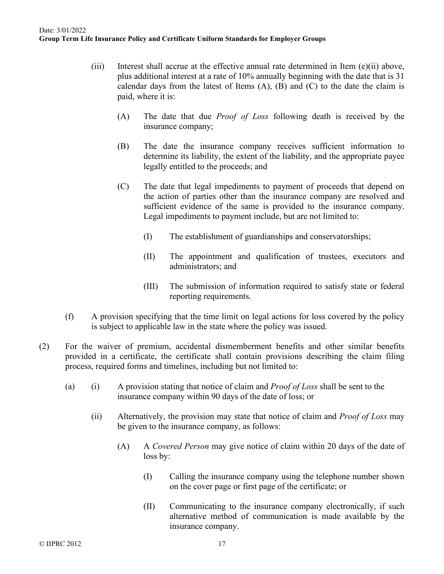- (iii) Interest shall accrue at the effective annual rate determined in Item  $(e)(ii)$  above, plus additional interest at a rate of 10% annually beginning with the date that is 31 calendar days from the latest of Items  $(A)$ ,  $(B)$  and  $(C)$  to the date the claim is paid, where it is:
	- (A) The date that due *Proof of Loss* following death is received by the insurance company;
	- (B) The date the insurance company receives sufficient information to determine its liability, the extent of the liability, and the appropriate payee legally entitled to the proceeds; and
	- (C) The date that legal impediments to payment of proceeds that depend on the action of parties other than the insurance company are resolved and sufficient evidence of the same is provided to the insurance company. Legal impediments to payment include, but are not limited to:
		- (I) The establishment of guardianships and conservatorships;
		- (II) The appointment and qualification of trustees, executors and administrators; and
		- (III) The submission of information required to satisfy state or federal reporting requirements.
- (f) A provision specifying that the time limit on legal actions for loss covered by the policy is subject to applicable law in the state where the policy was issued.
- (2) For the waiver of premium, accidental dismemberment benefits and other similar benefits provided in a certificate, the certificate shall contain provisions describing the claim filing process, required forms and timelines, including but not limited to:
	- (a) (i) A provision stating that notice of claim and *Proof of Loss* shall be sent to the insurance company within 90 days of the date of loss; or
		- (ii) Alternatively, the provision may state that notice of claim and *Proof of Loss* may be given to the insurance company, as follows:
			- (A) A *Covered Person* may give notice of claim within 20 days of the date of loss by:
				- (I) Calling the insurance company using the telephone number shown on the cover page or first page of the certificate; or
				- (II) Communicating to the insurance company electronically, if such alternative method of communication is made available by the insurance company.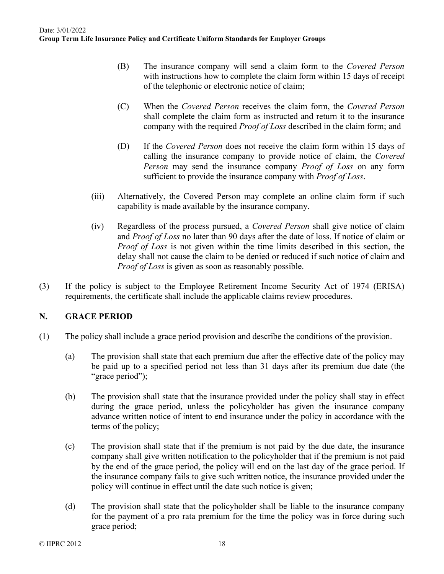- (B) The insurance company will send a claim form to the *Covered Person* with instructions how to complete the claim form within 15 days of receipt of the telephonic or electronic notice of claim;
- (C) When the *Covered Person* receives the claim form, the *Covered Person* shall complete the claim form as instructed and return it to the insurance company with the required *Proof of Loss* described in the claim form; and
- (D) If the *Covered Person* does not receive the claim form within 15 days of calling the insurance company to provide notice of claim, the *Covered Person* may send the insurance company *Proof of Loss* on any form sufficient to provide the insurance company with *Proof of Loss*.
- (iii) Alternatively, the Covered Person may complete an online claim form if such capability is made available by the insurance company.
- (iv) Regardless of the process pursued, a *Covered Person* shall give notice of claim and *Proof of Loss* no later than 90 days after the date of loss. If notice of claim or *Proof of Loss* is not given within the time limits described in this section, the delay shall not cause the claim to be denied or reduced if such notice of claim and *Proof of Loss* is given as soon as reasonably possible.
- (3) If the policy is subject to the Employee Retirement Income Security Act of 1974 (ERISA) requirements, the certificate shall include the applicable claims review procedures.

## **N. GRACE PERIOD**

- (1) The policy shall include a grace period provision and describe the conditions of the provision.
	- (a) The provision shall state that each premium due after the effective date of the policy may be paid up to a specified period not less than 31 days after its premium due date (the "grace period");
	- (b) The provision shall state that the insurance provided under the policy shall stay in effect during the grace period, unless the policyholder has given the insurance company advance written notice of intent to end insurance under the policy in accordance with the terms of the policy;
	- (c) The provision shall state that if the premium is not paid by the due date, the insurance company shall give written notification to the policyholder that if the premium is not paid by the end of the grace period, the policy will end on the last day of the grace period. If the insurance company fails to give such written notice, the insurance provided under the policy will continue in effect until the date such notice is given;
	- (d) The provision shall state that the policyholder shall be liable to the insurance company for the payment of a pro rata premium for the time the policy was in force during such grace period;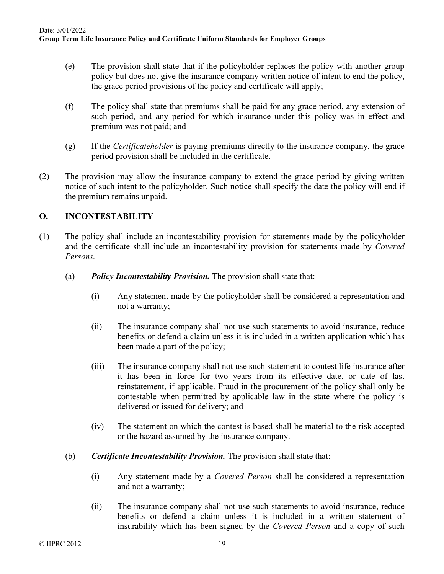- (e) The provision shall state that if the policyholder replaces the policy with another group policy but does not give the insurance company written notice of intent to end the policy, the grace period provisions of the policy and certificate will apply;
- (f) The policy shall state that premiums shall be paid for any grace period, any extension of such period, and any period for which insurance under this policy was in effect and premium was not paid; and
- (g) If the *Certificateholder* is paying premiums directly to the insurance company, the grace period provision shall be included in the certificate.
- (2) The provision may allow the insurance company to extend the grace period by giving written notice of such intent to the policyholder. Such notice shall specify the date the policy will end if the premium remains unpaid.

# **O. INCONTESTABILITY**

- (1) The policy shall include an incontestability provision for statements made by the policyholder and the certificate shall include an incontestability provision for statements made by *Covered Persons.* 
	- (a) *Policy Incontestability Provision.* The provision shall state that:
		- (i) Any statement made by the policyholder shall be considered a representation and not a warranty;
		- (ii) The insurance company shall not use such statements to avoid insurance, reduce benefits or defend a claim unless it is included in a written application which has been made a part of the policy;
		- (iii) The insurance company shall not use such statement to contest life insurance after it has been in force for two years from its effective date, or date of last reinstatement, if applicable. Fraud in the procurement of the policy shall only be contestable when permitted by applicable law in the state where the policy is delivered or issued for delivery; and
		- (iv) The statement on which the contest is based shall be material to the risk accepted or the hazard assumed by the insurance company.
	- (b) *Certificate Incontestability Provision.* The provision shall state that:
		- (i) Any statement made by a *Covered Person* shall be considered a representation and not a warranty;
		- (ii) The insurance company shall not use such statements to avoid insurance, reduce benefits or defend a claim unless it is included in a written statement of insurability which has been signed by the *Covered Person* and a copy of such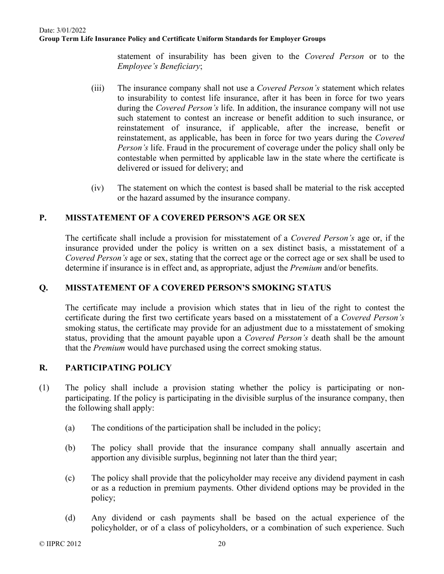statement of insurability has been given to the *Covered Person* or to the *Employee's Beneficiary*;

- (iii) The insurance company shall not use a *Covered Person's* statement which relates to insurability to contest life insurance, after it has been in force for two years during the *Covered Person's* life. In addition, the insurance company will not use such statement to contest an increase or benefit addition to such insurance, or reinstatement of insurance, if applicable, after the increase, benefit or reinstatement, as applicable, has been in force for two years during the *Covered Person's* life. Fraud in the procurement of coverage under the policy shall only be contestable when permitted by applicable law in the state where the certificate is delivered or issued for delivery; and
- (iv) The statement on which the contest is based shall be material to the risk accepted or the hazard assumed by the insurance company.

## **P. MISSTATEMENT OF A COVERED PERSON'S AGE OR SEX**

The certificate shall include a provision for misstatement of a *Covered Person's* age or, if the insurance provided under the policy is written on a sex distinct basis, a misstatement of a *Covered Person's* age or sex, stating that the correct age or the correct age or sex shall be used to determine if insurance is in effect and, as appropriate, adjust the *Premium* and/or benefits.

## **Q. MISSTATEMENT OF A COVERED PERSON'S SMOKING STATUS**

The certificate may include a provision which states that in lieu of the right to contest the certificate during the first two certificate years based on a misstatement of a *Covered Person's* smoking status, the certificate may provide for an adjustment due to a misstatement of smoking status, providing that the amount payable upon a *Covered Person's* death shall be the amount that the *Premium* would have purchased using the correct smoking status.

## **R. PARTICIPATING POLICY**

- (1) The policy shall include a provision stating whether the policy is participating or nonparticipating. If the policy is participating in the divisible surplus of the insurance company, then the following shall apply:
	- (a) The conditions of the participation shall be included in the policy;
	- (b) The policy shall provide that the insurance company shall annually ascertain and apportion any divisible surplus, beginning not later than the third year;
	- (c) The policy shall provide that the policyholder may receive any dividend payment in cash or as a reduction in premium payments. Other dividend options may be provided in the policy;
	- (d) Any dividend or cash payments shall be based on the actual experience of the policyholder, or of a class of policyholders, or a combination of such experience. Such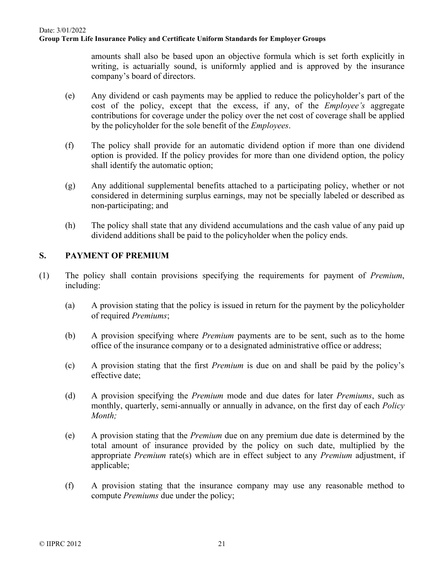amounts shall also be based upon an objective formula which is set forth explicitly in writing, is actuarially sound, is uniformly applied and is approved by the insurance company's board of directors.

- (e) Any dividend or cash payments may be applied to reduce the policyholder's part of the cost of the policy, except that the excess, if any, of the *Employee's* aggregate contributions for coverage under the policy over the net cost of coverage shall be applied by the policyholder for the sole benefit of the *Employees*.
- (f) The policy shall provide for an automatic dividend option if more than one dividend option is provided. If the policy provides for more than one dividend option, the policy shall identify the automatic option;
- (g) Any additional supplemental benefits attached to a participating policy, whether or not considered in determining surplus earnings, may not be specially labeled or described as non-participating; and
- (h) The policy shall state that any dividend accumulations and the cash value of any paid up dividend additions shall be paid to the policyholder when the policy ends.

# **S. PAYMENT OF PREMIUM**

- (1) The policy shall contain provisions specifying the requirements for payment of *Premium*, including:
	- (a) A provision stating that the policy is issued in return for the payment by the policyholder of required *Premiums*;
	- (b) A provision specifying where *Premium* payments are to be sent, such as to the home office of the insurance company or to a designated administrative office or address;
	- (c) A provision stating that the first *Premium* is due on and shall be paid by the policy's effective date;
	- (d) A provision specifying the *Premium* mode and due dates for later *Premiums*, such as monthly, quarterly, semi-annually or annually in advance, on the first day of each *Policy Month;*
	- (e) A provision stating that the *Premium* due on any premium due date is determined by the total amount of insurance provided by the policy on such date, multiplied by the appropriate *Premium* rate(s) which are in effect subject to any *Premium* adjustment, if applicable;
	- (f) A provision stating that the insurance company may use any reasonable method to compute *Premiums* due under the policy;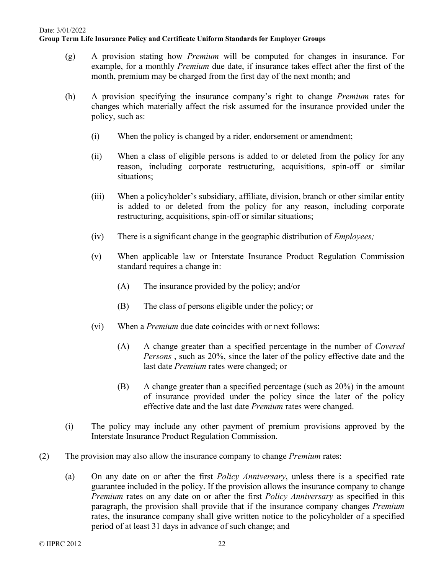- (g) A provision stating how *Premium* will be computed for changes in insurance. For example, for a monthly *Premium* due date, if insurance takes effect after the first of the month, premium may be charged from the first day of the next month; and
- (h) A provision specifying the insurance company's right to change *Premium* rates for changes which materially affect the risk assumed for the insurance provided under the policy, such as:
	- (i) When the policy is changed by a rider, endorsement or amendment;
	- (ii) When a class of eligible persons is added to or deleted from the policy for any reason, including corporate restructuring, acquisitions, spin-off or similar situations;
	- (iii) When a policyholder's subsidiary, affiliate, division, branch or other similar entity is added to or deleted from the policy for any reason, including corporate restructuring, acquisitions, spin-off or similar situations;
	- (iv) There is a significant change in the geographic distribution of *Employees;*
	- (v) When applicable law or Interstate Insurance Product Regulation Commission standard requires a change in:
		- (A) The insurance provided by the policy; and/or
		- (B) The class of persons eligible under the policy; or
	- (vi) When a *Premium* due date coincides with or next follows:
		- (A) A change greater than a specified percentage in the number of *Covered Persons* , such as 20%, since the later of the policy effective date and the last date *Premium* rates were changed; or
		- (B) A change greater than a specified percentage (such as 20%) in the amount of insurance provided under the policy since the later of the policy effective date and the last date *Premium* rates were changed.
- (i) The policy may include any other payment of premium provisions approved by the Interstate Insurance Product Regulation Commission.
- (2) The provision may also allow the insurance company to change *Premium* rates:
	- (a) On any date on or after the first *Policy Anniversary*, unless there is a specified rate guarantee included in the policy. If the provision allows the insurance company to change *Premium* rates on any date on or after the first *Policy Anniversary* as specified in this paragraph, the provision shall provide that if the insurance company changes *Premium* rates, the insurance company shall give written notice to the policyholder of a specified period of at least 31 days in advance of such change; and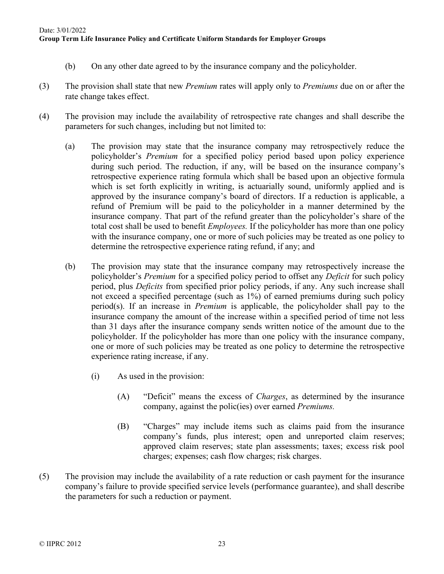- (b) On any other date agreed to by the insurance company and the policyholder.
- (3) The provision shall state that new *Premium* rates will apply only to *Premiums* due on or after the rate change takes effect.
- (4) The provision may include the availability of retrospective rate changes and shall describe the parameters for such changes, including but not limited to:
	- (a) The provision may state that the insurance company may retrospectively reduce the policyholder's *Premium* for a specified policy period based upon policy experience during such period. The reduction, if any, will be based on the insurance company's retrospective experience rating formula which shall be based upon an objective formula which is set forth explicitly in writing, is actuarially sound, uniformly applied and is approved by the insurance company's board of directors. If a reduction is applicable, a refund of Premium will be paid to the policyholder in a manner determined by the insurance company. That part of the refund greater than the policyholder's share of the total cost shall be used to benefit *Employees.* If the policyholder has more than one policy with the insurance company, one or more of such policies may be treated as one policy to determine the retrospective experience rating refund, if any; and
	- (b) The provision may state that the insurance company may retrospectively increase the policyholder's *Premium* for a specified policy period to offset any *Deficit* for such policy period, plus *Deficits* from specified prior policy periods, if any. Any such increase shall not exceed a specified percentage (such as 1%) of earned premiums during such policy period(s). If an increase in *Premium* is applicable, the policyholder shall pay to the insurance company the amount of the increase within a specified period of time not less than 31 days after the insurance company sends written notice of the amount due to the policyholder. If the policyholder has more than one policy with the insurance company, one or more of such policies may be treated as one policy to determine the retrospective experience rating increase, if any.
		- (i) As used in the provision:
			- (A) "Deficit" means the excess of *Charges*, as determined by the insurance company, against the polic(ies) over earned *Premiums.*
			- (B) "Charges" may include items such as claims paid from the insurance company's funds, plus interest; open and unreported claim reserves; approved claim reserves; state plan assessments; taxes; excess risk pool charges; expenses; cash flow charges; risk charges.
- (5) The provision may include the availability of a rate reduction or cash payment for the insurance company's failure to provide specified service levels (performance guarantee), and shall describe the parameters for such a reduction or payment.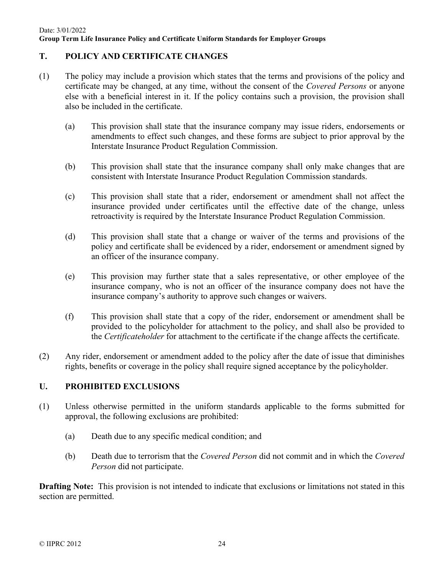## **T. POLICY AND CERTIFICATE CHANGES**

- (1) The policy may include a provision which states that the terms and provisions of the policy and certificate may be changed, at any time, without the consent of the *Covered Persons* or anyone else with a beneficial interest in it. If the policy contains such a provision, the provision shall also be included in the certificate.
	- (a) This provision shall state that the insurance company may issue riders, endorsements or amendments to effect such changes, and these forms are subject to prior approval by the Interstate Insurance Product Regulation Commission.
	- (b) This provision shall state that the insurance company shall only make changes that are consistent with Interstate Insurance Product Regulation Commission standards.
	- (c) This provision shall state that a rider, endorsement or amendment shall not affect the insurance provided under certificates until the effective date of the change, unless retroactivity is required by the Interstate Insurance Product Regulation Commission.
	- (d) This provision shall state that a change or waiver of the terms and provisions of the policy and certificate shall be evidenced by a rider, endorsement or amendment signed by an officer of the insurance company.
	- (e) This provision may further state that a sales representative, or other employee of the insurance company, who is not an officer of the insurance company does not have the insurance company's authority to approve such changes or waivers.
	- (f) This provision shall state that a copy of the rider, endorsement or amendment shall be provided to the policyholder for attachment to the policy, and shall also be provided to the *Certificateholder* for attachment to the certificate if the change affects the certificate.
- (2) Any rider, endorsement or amendment added to the policy after the date of issue that diminishes rights, benefits or coverage in the policy shall require signed acceptance by the policyholder.

### **U. PROHIBITED EXCLUSIONS**

- (1) Unless otherwise permitted in the uniform standards applicable to the forms submitted for approval, the following exclusions are prohibited:
	- (a) Death due to any specific medical condition; and
	- (b) Death due to terrorism that the *Covered Person* did not commit and in which the *Covered Person* did not participate.

**Drafting Note:** This provision is not intended to indicate that exclusions or limitations not stated in this section are permitted.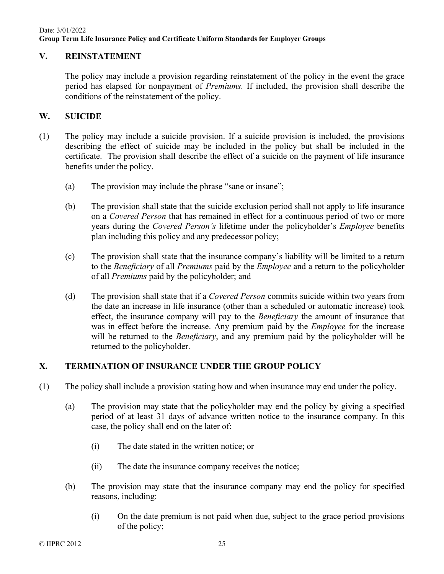## **V. REINSTATEMENT**

The policy may include a provision regarding reinstatement of the policy in the event the grace period has elapsed for nonpayment of *Premiums.* If included, the provision shall describe the conditions of the reinstatement of the policy.

### **W. SUICIDE**

- (1) The policy may include a suicide provision. If a suicide provision is included, the provisions describing the effect of suicide may be included in the policy but shall be included in the certificate. The provision shall describe the effect of a suicide on the payment of life insurance benefits under the policy.
	- (a) The provision may include the phrase "sane or insane";
	- (b) The provision shall state that the suicide exclusion period shall not apply to life insurance on a *Covered Person* that has remained in effect for a continuous period of two or more years during the *Covered Person's* lifetime under the policyholder's *Employee* benefits plan including this policy and any predecessor policy;
	- (c) The provision shall state that the insurance company's liability will be limited to a return to the *Beneficiary* of all *Premiums* paid by the *Employee* and a return to the policyholder of all *Premiums* paid by the policyholder; and
	- (d) The provision shall state that if a *Covered Person* commits suicide within two years from the date an increase in life insurance (other than a scheduled or automatic increase) took effect, the insurance company will pay to the *Beneficiary* the amount of insurance that was in effect before the increase. Any premium paid by the *Employee* for the increase will be returned to the *Beneficiary*, and any premium paid by the policyholder will be returned to the policyholder.

## **X. TERMINATION OF INSURANCE UNDER THE GROUP POLICY**

- (1) The policy shall include a provision stating how and when insurance may end under the policy.
	- (a) The provision may state that the policyholder may end the policy by giving a specified period of at least 31 days of advance written notice to the insurance company. In this case, the policy shall end on the later of:
		- (i) The date stated in the written notice; or
		- (ii) The date the insurance company receives the notice;
	- (b) The provision may state that the insurance company may end the policy for specified reasons, including:
		- (i) On the date premium is not paid when due, subject to the grace period provisions of the policy;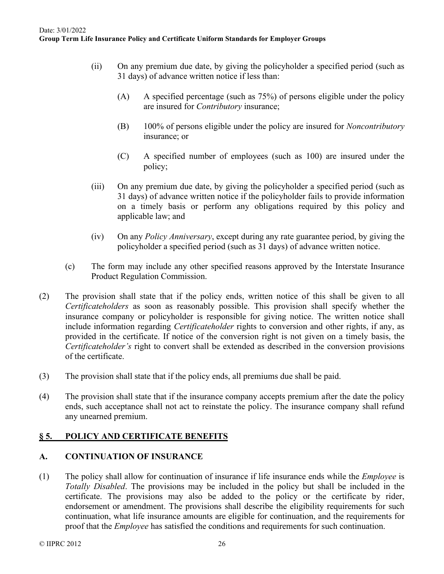- (ii) On any premium due date, by giving the policyholder a specified period (such as 31 days) of advance written notice if less than:
	- (A) A specified percentage (such as 75%) of persons eligible under the policy are insured for *Contributory* insurance;
	- (B) 100% of persons eligible under the policy are insured for *Noncontributory* insurance; or
	- (C) A specified number of employees (such as 100) are insured under the policy;
- (iii) On any premium due date, by giving the policyholder a specified period (such as 31 days) of advance written notice if the policyholder fails to provide information on a timely basis or perform any obligations required by this policy and applicable law; and
- (iv) On any *Policy Anniversary*, except during any rate guarantee period, by giving the policyholder a specified period (such as 31 days) of advance written notice.
- (c) The form may include any other specified reasons approved by the Interstate Insurance Product Regulation Commission.
- (2) The provision shall state that if the policy ends, written notice of this shall be given to all *Certificateholders* as soon as reasonably possible. This provision shall specify whether the insurance company or policyholder is responsible for giving notice. The written notice shall include information regarding *Certificateholder* rights to conversion and other rights, if any, as provided in the certificate. If notice of the conversion right is not given on a timely basis, the *Certificateholder's* right to convert shall be extended as described in the conversion provisions of the certificate.
- (3) The provision shall state that if the policy ends, all premiums due shall be paid.
- (4) The provision shall state that if the insurance company accepts premium after the date the policy ends, such acceptance shall not act to reinstate the policy. The insurance company shall refund any unearned premium.

## **§ 5. POLICY AND CERTIFICATE BENEFITS**

## **A. CONTINUATION OF INSURANCE**

(1) The policy shall allow for continuation of insurance if life insurance ends while the *Employee* is *Totally Disabled*. The provisions may be included in the policy but shall be included in the certificate. The provisions may also be added to the policy or the certificate by rider, endorsement or amendment. The provisions shall describe the eligibility requirements for such continuation, what life insurance amounts are eligible for continuation, and the requirements for proof that the *Employee* has satisfied the conditions and requirements for such continuation.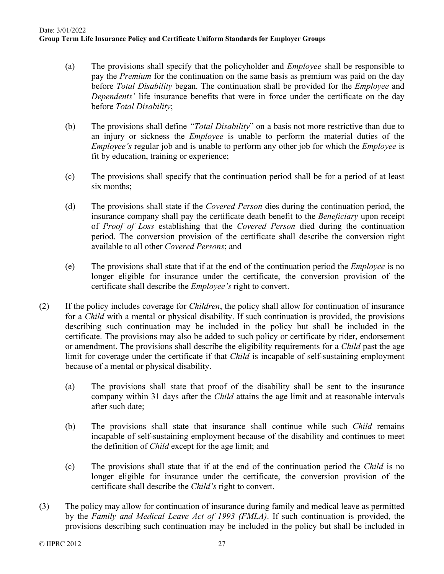- (a) The provisions shall specify that the policyholder and *Employee* shall be responsible to pay the *Premium* for the continuation on the same basis as premium was paid on the day before *Total Disability* began. The continuation shall be provided for the *Employee* and *Dependents'* life insurance benefits that were in force under the certificate on the day before *Total Disability*;
- (b) The provisions shall define *"Total Disability*" on a basis not more restrictive than due to an injury or sickness the *Employee* is unable to perform the material duties of the *Employee's* regular job and is unable to perform any other job for which the *Employee* is fit by education, training or experience;
- (c) The provisions shall specify that the continuation period shall be for a period of at least six months;
- (d) The provisions shall state if the *Covered Person* dies during the continuation period, the insurance company shall pay the certificate death benefit to the *Beneficiary* upon receipt of *Proof of Loss* establishing that the *Covered Person* died during the continuation period. The conversion provision of the certificate shall describe the conversion right available to all other *Covered Persons*; and
- (e) The provisions shall state that if at the end of the continuation period the *Employee* is no longer eligible for insurance under the certificate, the conversion provision of the certificate shall describe the *Employee's* right to convert.
- (2) If the policy includes coverage for *Children*, the policy shall allow for continuation of insurance for a *Child* with a mental or physical disability. If such continuation is provided, the provisions describing such continuation may be included in the policy but shall be included in the certificate. The provisions may also be added to such policy or certificate by rider, endorsement or amendment. The provisions shall describe the eligibility requirements for a *Child* past the age limit for coverage under the certificate if that *Child* is incapable of self-sustaining employment because of a mental or physical disability.
	- (a) The provisions shall state that proof of the disability shall be sent to the insurance company within 31 days after the *Child* attains the age limit and at reasonable intervals after such date;
	- (b) The provisions shall state that insurance shall continue while such *Child* remains incapable of self-sustaining employment because of the disability and continues to meet the definition of *Child* except for the age limit; and
	- (c) The provisions shall state that if at the end of the continuation period the *Child* is no longer eligible for insurance under the certificate, the conversion provision of the certificate shall describe the *Child's* right to convert.
- (3) The policy may allow for continuation of insurance during family and medical leave as permitted by the *Family and Medical Leave Act of 1993 (FMLA)*. If such continuation is provided, the provisions describing such continuation may be included in the policy but shall be included in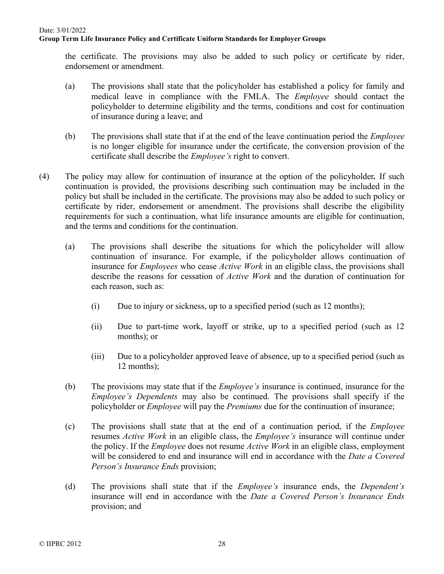the certificate. The provisions may also be added to such policy or certificate by rider, endorsement or amendment.

- (a) The provisions shall state that the policyholder has established a policy for family and medical leave in compliance with the FMLA. The *Employee* should contact the policyholder to determine eligibility and the terms, conditions and cost for continuation of insurance during a leave; and
- (b) The provisions shall state that if at the end of the leave continuation period the *Employee* is no longer eligible for insurance under the certificate, the conversion provision of the certificate shall describe the *Employee's* right to convert.
- (4) The policy may allow for continuation of insurance at the option of the policyholder*.* If such continuation is provided, the provisions describing such continuation may be included in the policy but shall be included in the certificate. The provisions may also be added to such policy or certificate by rider, endorsement or amendment. The provisions shall describe the eligibility requirements for such a continuation, what life insurance amounts are eligible for continuation, and the terms and conditions for the continuation.
	- (a) The provisions shall describe the situations for which the policyholder will allow continuation of insurance. For example, if the policyholder allows continuation of insurance for *Employees* who cease *Active Work* in an eligible class, the provisions shall describe the reasons for cessation of *Active Work* and the duration of continuation for each reason, such as:
		- (i) Due to injury or sickness, up to a specified period (such as 12 months);
		- (ii) Due to part-time work, layoff or strike, up to a specified period (such as 12 months); or
		- (iii) Due to a policyholder approved leave of absence, up to a specified period (such as 12 months);
	- (b) The provisions may state that if the *Employee's* insurance is continued, insurance for the *Employee's Dependents* may also be continued. The provisions shall specify if the policyholder or *Employee* will pay the *Premiums* due for the continuation of insurance;
	- (c) The provisions shall state that at the end of a continuation period, if the *Employee*  resumes *Active Work* in an eligible class, the *Employee's* insurance will continue under the policy. If the *Employee* does not resume *Active Work* in an eligible class, employment will be considered to end and insurance will end in accordance with the *Date a Covered Person's Insurance Ends* provision;
	- (d) The provisions shall state that if the *Employee's* insurance ends, the *Dependent's* insurance will end in accordance with the *Date a Covered Person's Insurance Ends* provision; and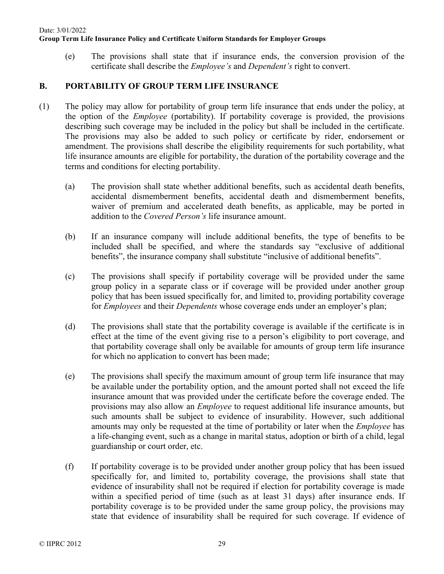(e) The provisions shall state that if insurance ends, the conversion provision of the certificate shall describe the *Employee's* and *Dependent's* right to convert.

## **B. PORTABILITY OF GROUP TERM LIFE INSURANCE**

- (1) The policy may allow for portability of group term life insurance that ends under the policy, at the option of the *Employee* (portability). If portability coverage is provided, the provisions describing such coverage may be included in the policy but shall be included in the certificate. The provisions may also be added to such policy or certificate by rider, endorsement or amendment. The provisions shall describe the eligibility requirements for such portability, what life insurance amounts are eligible for portability, the duration of the portability coverage and the terms and conditions for electing portability.
	- (a) The provision shall state whether additional benefits, such as accidental death benefits, accidental dismemberment benefits, accidental death and dismemberment benefits, waiver of premium and accelerated death benefits, as applicable, may be ported in addition to the *Covered Person's* life insurance amount.
	- (b) If an insurance company will include additional benefits, the type of benefits to be included shall be specified, and where the standards say "exclusive of additional benefits", the insurance company shall substitute "inclusive of additional benefits".
	- (c) The provisions shall specify if portability coverage will be provided under the same group policy in a separate class or if coverage will be provided under another group policy that has been issued specifically for, and limited to, providing portability coverage for *Employees* and their *Dependents* whose coverage ends under an employer's plan;
	- (d) The provisions shall state that the portability coverage is available if the certificate is in effect at the time of the event giving rise to a person's eligibility to port coverage, and that portability coverage shall only be available for amounts of group term life insurance for which no application to convert has been made;
	- (e) The provisions shall specify the maximum amount of group term life insurance that may be available under the portability option, and the amount ported shall not exceed the life insurance amount that was provided under the certificate before the coverage ended. The provisions may also allow an *Employee* to request additional life insurance amounts, but such amounts shall be subject to evidence of insurability. However, such additional amounts may only be requested at the time of portability or later when the *Employee* has a life-changing event, such as a change in marital status, adoption or birth of a child, legal guardianship or court order, etc.
	- (f) If portability coverage is to be provided under another group policy that has been issued specifically for, and limited to, portability coverage, the provisions shall state that evidence of insurability shall not be required if election for portability coverage is made within a specified period of time (such as at least 31 days) after insurance ends. If portability coverage is to be provided under the same group policy, the provisions may state that evidence of insurability shall be required for such coverage. If evidence of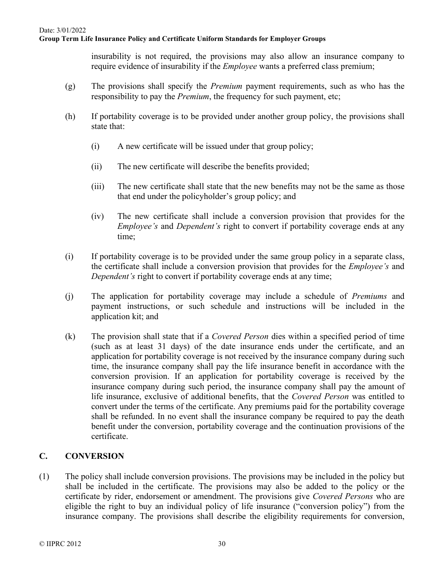insurability is not required, the provisions may also allow an insurance company to require evidence of insurability if the *Employee* wants a preferred class premium;

- (g) The provisions shall specify the *Premium* payment requirements, such as who has the responsibility to pay the *Premium*, the frequency for such payment, etc;
- (h) If portability coverage is to be provided under another group policy, the provisions shall state that:
	- (i) A new certificate will be issued under that group policy;
	- (ii) The new certificate will describe the benefits provided;
	- (iii) The new certificate shall state that the new benefits may not be the same as those that end under the policyholder's group policy; and
	- (iv) The new certificate shall include a conversion provision that provides for the *Employee's* and *Dependent's* right to convert if portability coverage ends at any time;
- (i) If portability coverage is to be provided under the same group policy in a separate class, the certificate shall include a conversion provision that provides for the *Employee's* and *Dependent's* right to convert if portability coverage ends at any time;
- (j) The application for portability coverage may include a schedule of *Premiums* and payment instructions, or such schedule and instructions will be included in the application kit; and
- (k) The provision shall state that if a *Covered Person* dies within a specified period of time (such as at least 31 days) of the date insurance ends under the certificate, and an application for portability coverage is not received by the insurance company during such time, the insurance company shall pay the life insurance benefit in accordance with the conversion provision. If an application for portability coverage is received by the insurance company during such period, the insurance company shall pay the amount of life insurance, exclusive of additional benefits, that the *Covered Person* was entitled to convert under the terms of the certificate. Any premiums paid for the portability coverage shall be refunded. In no event shall the insurance company be required to pay the death benefit under the conversion, portability coverage and the continuation provisions of the certificate.

## **C. CONVERSION**

(1) The policy shall include conversion provisions. The provisions may be included in the policy but shall be included in the certificate. The provisions may also be added to the policy or the certificate by rider, endorsement or amendment. The provisions give *Covered Persons* who are eligible the right to buy an individual policy of life insurance ("conversion policy") from the insurance company. The provisions shall describe the eligibility requirements for conversion,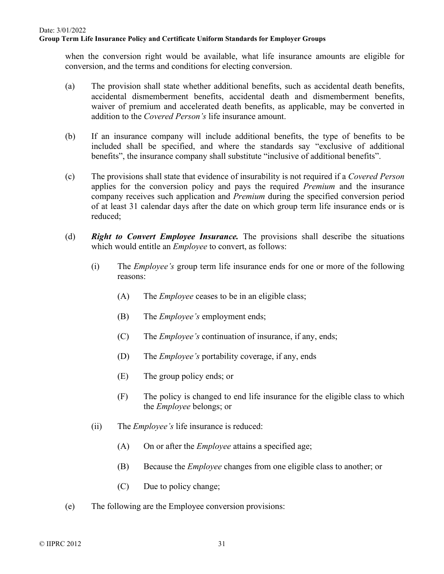when the conversion right would be available, what life insurance amounts are eligible for conversion, and the terms and conditions for electing conversion.

- (a) The provision shall state whether additional benefits, such as accidental death benefits, accidental dismemberment benefits, accidental death and dismemberment benefits, waiver of premium and accelerated death benefits, as applicable, may be converted in addition to the *Covered Person's* life insurance amount.
- (b) If an insurance company will include additional benefits, the type of benefits to be included shall be specified, and where the standards say "exclusive of additional benefits", the insurance company shall substitute "inclusive of additional benefits".
- (c) The provisions shall state that evidence of insurability is not required if a *Covered Person* applies for the conversion policy and pays the required *Premium* and the insurance company receives such application and *Premium* during the specified conversion period of at least 31 calendar days after the date on which group term life insurance ends or is reduced;
- (d) *Right to Convert Employee Insurance.* The provisions shall describe the situations which would entitle an *Employee* to convert, as follows:
	- (i) The *Employee's* group term life insurance ends for one or more of the following reasons:
		- (A) The *Employee* ceases to be in an eligible class;
		- (B) The *Employee's* employment ends;
		- (C) The *Employee's* continuation of insurance, if any, ends;
		- (D) The *Employee's* portability coverage, if any, ends
		- (E) The group policy ends; or
		- (F) The policy is changed to end life insurance for the eligible class to which the *Employee* belongs; or
	- (ii) The *Employee's* life insurance is reduced:
		- (A) On or after the *Employee* attains a specified age;
		- (B) Because the *Employee* changes from one eligible class to another; or
		- (C) Due to policy change;
- (e) The following are the Employee conversion provisions: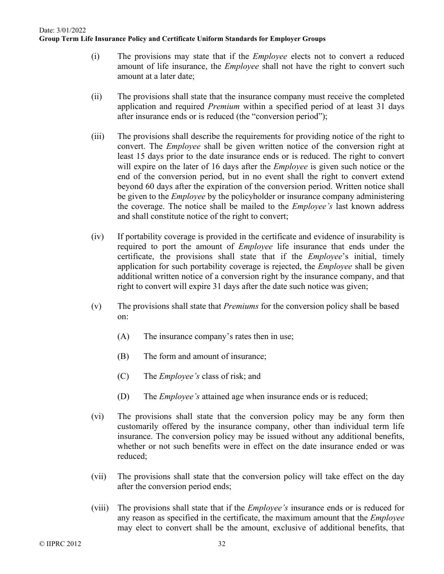- (i) The provisions may state that if the *Employee* elects not to convert a reduced amount of life insurance, the *Employee* shall not have the right to convert such amount at a later date;
- (ii) The provisions shall state that the insurance company must receive the completed application and required *Premium* within a specified period of at least 31 days after insurance ends or is reduced (the "conversion period");
- (iii) The provisions shall describe the requirements for providing notice of the right to convert. The *Employee* shall be given written notice of the conversion right at least 15 days prior to the date insurance ends or is reduced. The right to convert will expire on the later of 16 days after the *Employee* is given such notice or the end of the conversion period, but in no event shall the right to convert extend beyond 60 days after the expiration of the conversion period. Written notice shall be given to the *Employee* by the policyholder or insurance company administering the coverage. The notice shall be mailed to the *Employee's* last known address and shall constitute notice of the right to convert;
- (iv) If portability coverage is provided in the certificate and evidence of insurability is required to port the amount of *Employee* life insurance that ends under the certificate, the provisions shall state that if the *Employee*'s initial, timely application for such portability coverage is rejected, the *Employee* shall be given additional written notice of a conversion right by the insurance company, and that right to convert will expire 31 days after the date such notice was given;
- (v) The provisions shall state that *Premiums* for the conversion policy shall be based on:
	- (A) The insurance company's rates then in use;
	- (B) The form and amount of insurance;
	- (C) The *Employee's* class of risk; and
	- (D) The *Employee's* attained age when insurance ends or is reduced;
- (vi) The provisions shall state that the conversion policy may be any form then customarily offered by the insurance company, other than individual term life insurance. The conversion policy may be issued without any additional benefits, whether or not such benefits were in effect on the date insurance ended or was reduced;
- (vii) The provisions shall state that the conversion policy will take effect on the day after the conversion period ends;
- (viii) The provisions shall state that if the *Employee's* insurance ends or is reduced for any reason as specified in the certificate, the maximum amount that the *Employee* may elect to convert shall be the amount, exclusive of additional benefits, that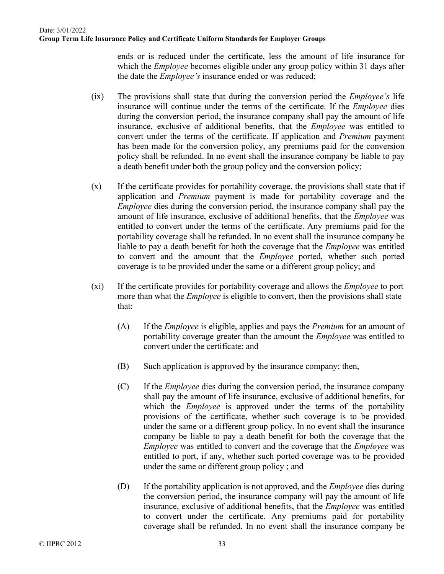ends or is reduced under the certificate, less the amount of life insurance for which the *Employee* becomes eligible under any group policy within 31 days after the date the *Employee's* insurance ended or was reduced;

- (ix) The provisions shall state that during the conversion period the *Employee's* life insurance will continue under the terms of the certificate. If the *Employee* dies during the conversion period, the insurance company shall pay the amount of life insurance, exclusive of additional benefits, that the *Employee* was entitled to convert under the terms of the certificate. If application and *Premium* payment has been made for the conversion policy, any premiums paid for the conversion policy shall be refunded. In no event shall the insurance company be liable to pay a death benefit under both the group policy and the conversion policy;
- (x) If the certificate provides for portability coverage, the provisions shall state that if application and *Premium* payment is made for portability coverage and the *Employee* dies during the conversion period, the insurance company shall pay the amount of life insurance, exclusive of additional benefits, that the *Employee* was entitled to convert under the terms of the certificate. Any premiums paid for the portability coverage shall be refunded. In no event shall the insurance company be liable to pay a death benefit for both the coverage that the *Employee* was entitled to convert and the amount that the *Employee* ported, whether such ported coverage is to be provided under the same or a different group policy; and
- (xi) If the certificate provides for portability coverage and allows the *Employee* to port more than what the *Employee* is eligible to convert, then the provisions shall state that:
	- (A) If the *Employee* is eligible, applies and pays the *Premium* for an amount of portability coverage greater than the amount the *Employee* was entitled to convert under the certificate; and
	- (B) Such application is approved by the insurance company; then,
	- (C) If the *Employee* dies during the conversion period, the insurance company shall pay the amount of life insurance, exclusive of additional benefits, for which the *Employee* is approved under the terms of the portability provisions of the certificate, whether such coverage is to be provided under the same or a different group policy. In no event shall the insurance company be liable to pay a death benefit for both the coverage that the *Employee* was entitled to convert and the coverage that the *Employee* was entitled to port, if any, whether such ported coverage was to be provided under the same or different group policy ; and
	- (D) If the portability application is not approved, and the *Employee* dies during the conversion period, the insurance company will pay the amount of life insurance, exclusive of additional benefits, that the *Employee* was entitled to convert under the certificate. Any premiums paid for portability coverage shall be refunded. In no event shall the insurance company be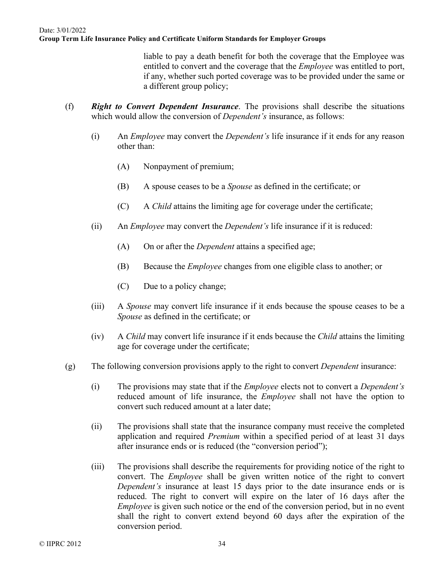liable to pay a death benefit for both the coverage that the Employee was entitled to convert and the coverage that the *Employee* was entitled to port, if any, whether such ported coverage was to be provided under the same or a different group policy;

- (f) *Right to Convert Dependent Insurance*. The provisions shall describe the situations which would allow the conversion of *Dependent's* insurance, as follows:
	- (i) An *Employee* may convert the *Dependent's* life insurance if it ends for any reason other than:
		- (A) Nonpayment of premium;
		- (B) A spouse ceases to be a *Spouse* as defined in the certificate; or
		- (C) A *Child* attains the limiting age for coverage under the certificate;
	- (ii) An *Employee* may convert the *Dependent's* life insurance if it is reduced:
		- (A) On or after the *Dependent* attains a specified age;
		- (B) Because the *Employee* changes from one eligible class to another; or
		- (C) Due to a policy change;
	- (iii) A *Spouse* may convert life insurance if it ends because the spouse ceases to be a *Spouse* as defined in the certificate; or
	- (iv) A *Child* may convert life insurance if it ends because the *Child* attains the limiting age for coverage under the certificate;
- (g) The following conversion provisions apply to the right to convert *Dependent* insurance:
	- (i) The provisions may state that if the *Employee* elects not to convert a *Dependent's* reduced amount of life insurance, the *Employee* shall not have the option to convert such reduced amount at a later date;
	- (ii) The provisions shall state that the insurance company must receive the completed application and required *Premium* within a specified period of at least 31 days after insurance ends or is reduced (the "conversion period");
	- (iii) The provisions shall describe the requirements for providing notice of the right to convert. The *Employee* shall be given written notice of the right to convert *Dependent's* insurance at least 15 days prior to the date insurance ends or is reduced. The right to convert will expire on the later of 16 days after the *Employee* is given such notice or the end of the conversion period, but in no event shall the right to convert extend beyond 60 days after the expiration of the conversion period.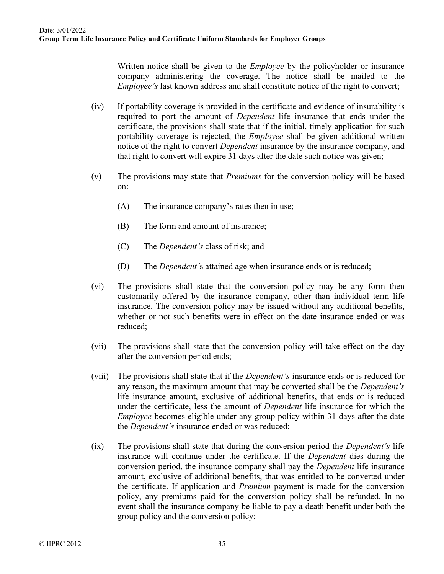Written notice shall be given to the *Employee* by the policyholder or insurance company administering the coverage. The notice shall be mailed to the *Employee's* last known address and shall constitute notice of the right to convert;

- (iv) If portability coverage is provided in the certificate and evidence of insurability is required to port the amount of *Dependent* life insurance that ends under the certificate, the provisions shall state that if the initial, timely application for such portability coverage is rejected, the *Employee* shall be given additional written notice of the right to convert *Dependent* insurance by the insurance company, and that right to convert will expire 31 days after the date such notice was given;
- (v) The provisions may state that *Premiums* for the conversion policy will be based on:
	- (A) The insurance company's rates then in use;
	- (B) The form and amount of insurance;
	- (C) The *Dependent's* class of risk; and
	- (D) The *Dependent'*s attained age when insurance ends or is reduced;
- (vi) The provisions shall state that the conversion policy may be any form then customarily offered by the insurance company, other than individual term life insurance. The conversion policy may be issued without any additional benefits, whether or not such benefits were in effect on the date insurance ended or was reduced;
- (vii) The provisions shall state that the conversion policy will take effect on the day after the conversion period ends;
- (viii) The provisions shall state that if the *Dependent's* insurance ends or is reduced for any reason, the maximum amount that may be converted shall be the *Dependent's* life insurance amount, exclusive of additional benefits, that ends or is reduced under the certificate, less the amount of *Dependent* life insurance for which the *Employee* becomes eligible under any group policy within 31 days after the date the *Dependent's* insurance ended or was reduced;
- (ix) The provisions shall state that during the conversion period the *Dependent's* life insurance will continue under the certificate. If the *Dependent* dies during the conversion period, the insurance company shall pay the *Dependent* life insurance amount, exclusive of additional benefits, that was entitled to be converted under the certificate. If application and *Premium* payment is made for the conversion policy, any premiums paid for the conversion policy shall be refunded. In no event shall the insurance company be liable to pay a death benefit under both the group policy and the conversion policy;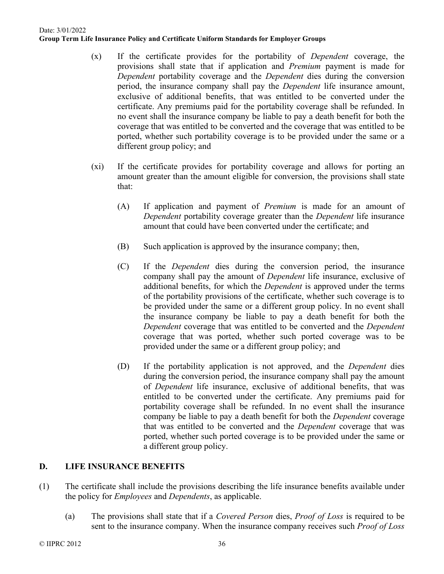- (x) If the certificate provides for the portability of *Dependent* coverage, the provisions shall state that if application and *Premium* payment is made for *Dependent* portability coverage and the *Dependent* dies during the conversion period, the insurance company shall pay the *Dependent* life insurance amount, exclusive of additional benefits, that was entitled to be converted under the certificate. Any premiums paid for the portability coverage shall be refunded. In no event shall the insurance company be liable to pay a death benefit for both the coverage that was entitled to be converted and the coverage that was entitled to be ported, whether such portability coverage is to be provided under the same or a different group policy; and
- (xi) If the certificate provides for portability coverage and allows for porting an amount greater than the amount eligible for conversion, the provisions shall state that:
	- (A) If application and payment of *Premium* is made for an amount of *Dependent* portability coverage greater than the *Dependent* life insurance amount that could have been converted under the certificate; and
	- (B) Such application is approved by the insurance company; then,
	- (C) If the *Dependent* dies during the conversion period, the insurance company shall pay the amount of *Dependent* life insurance, exclusive of additional benefits, for which the *Dependent* is approved under the terms of the portability provisions of the certificate, whether such coverage is to be provided under the same or a different group policy. In no event shall the insurance company be liable to pay a death benefit for both the *Dependent* coverage that was entitled to be converted and the *Dependent*  coverage that was ported, whether such ported coverage was to be provided under the same or a different group policy; and
	- (D) If the portability application is not approved, and the *Dependent* dies during the conversion period, the insurance company shall pay the amount of *Dependent* life insurance, exclusive of additional benefits, that was entitled to be converted under the certificate. Any premiums paid for portability coverage shall be refunded. In no event shall the insurance company be liable to pay a death benefit for both the *Dependent* coverage that was entitled to be converted and the *Dependent* coverage that was ported, whether such ported coverage is to be provided under the same or a different group policy.

## **D. LIFE INSURANCE BENEFITS**

- (1) The certificate shall include the provisions describing the life insurance benefits available under the policy for *Employees* and *Dependents*, as applicable.
	- (a) The provisions shall state that if a *Covered Person* dies, *Proof of Loss* is required to be sent to the insurance company. When the insurance company receives such *Proof of Loss*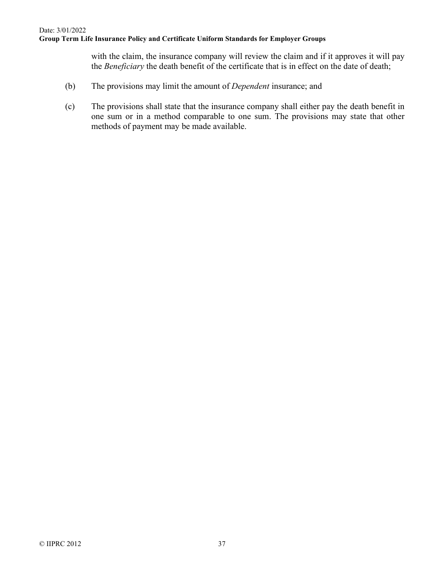with the claim, the insurance company will review the claim and if it approves it will pay the *Beneficiary* the death benefit of the certificate that is in effect on the date of death;

- (b) The provisions may limit the amount of *Dependent* insurance; and
- (c) The provisions shall state that the insurance company shall either pay the death benefit in one sum or in a method comparable to one sum. The provisions may state that other methods of payment may be made available.